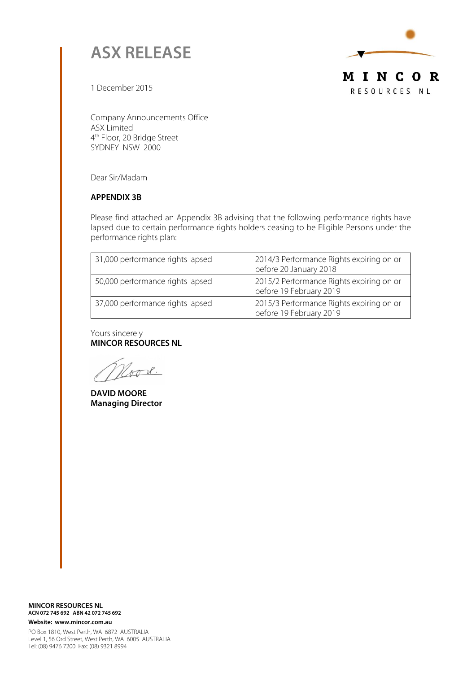



1 December 2015

Company Announcements Office ASX Limited 4th Floor, 20 Bridge Street SYDNEY NSW 2000

Dear Sir/Madam

#### **APPENDIX 3B**

Please find attached an Appendix 3B advising that the following performance rights have lapsed due to certain performance rights holders ceasing to be Eligible Persons under the performance rights plan:

| 31,000 performance rights lapsed | 2014/3 Performance Rights expiring on or<br>before 20 January 2018  |
|----------------------------------|---------------------------------------------------------------------|
| 50,000 performance rights lapsed | 2015/2 Performance Rights expiring on or<br>before 19 February 2019 |
| 37,000 performance rights lapsed | 2015/3 Performance Rights expiring on or<br>before 19 February 2019 |

Yours sincerely **MINCOR RESOURCES NL** 

**DAVID MOORE Managing Director** 

**MINCOR RESOURCES NL ACN 072 745 692 ABN 42 072 745 692 Website: www.mincor.com.au** 

PO Box 1810, West Perth, WA 6872 AUSTRALIA Level 1, 56 Ord Street, West Perth, WA 6005 AUSTRALIA Tel: (08) 9476 7200 Fax: (08) 9321 8994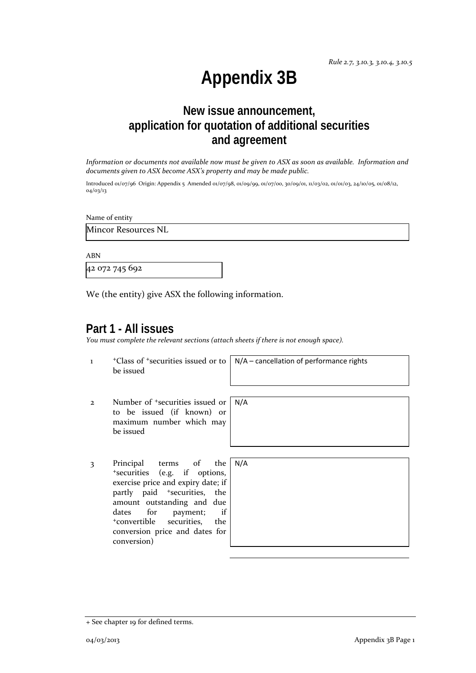# **Appendix 3B**

## **New issue announcement, application for quotation of additional securities and agreement**

Information or documents not available now must be given to ASX as soon as available. Information and *documents given to ASX become ASX's property and may be made public.*

Introduced 01/07/96 Origin: Appendix 5 Amended 01/07/98, 01/09/99, 01/07/00, 30/09/01, 11/03/02, 01/01/03, 24/10/05, 01/08/12, 04/03/13

Name of entity

Mincor Resources NL

ABN

42 072 745 692

We (the entity) give ASX the following information.

#### **Part 1 - All issues**

*You must complete the relevant sections (attach sheets if there is not enough space).*

1 +Class of +securities issued or to be issued

N/A – cancellation of performance rights

2 Number of +securities issued or to be issued (if known) or maximum number which may be issued N/A

3 Principal terms of the +securities (e.g. if options, exercise price and expiry date; if partly paid <sup>+</sup>securities, the amount outstanding and due dates for payment; if +convertible securities, the conversion price and dates for conversion)

| $\overline{\phantom{a}}$ | N/A |
|--------------------------|-----|
| ,<br>f                   |     |
| $\overline{\phantom{a}}$ |     |
| $\overline{\phantom{a}}$ |     |
| f                        |     |
| $\overline{\phantom{a}}$ |     |
| 'n                       |     |
|                          |     |

<sup>+</sup> See chapter 19 for defined terms.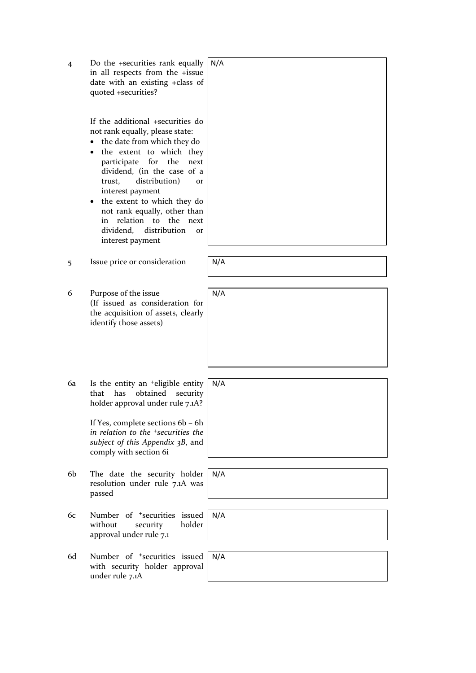| $\overline{4}$ | Do the +securities rank equally<br>in all respects from the +issue<br>date with an existing +class of<br>quoted +securities?<br>If the additional +securities do<br>not rank equally, please state:<br>the date from which they do<br>the extent to which they<br>participate<br>for<br>the<br>next<br>dividend, (in the case of a<br>distribution)<br>trust,<br><b>Or</b><br>interest payment<br>the extent to which they do<br>not rank equally, other than<br>relation to the<br>in<br>next<br>dividend,<br>distribution<br>or<br>interest payment | N/A |
|----------------|-------------------------------------------------------------------------------------------------------------------------------------------------------------------------------------------------------------------------------------------------------------------------------------------------------------------------------------------------------------------------------------------------------------------------------------------------------------------------------------------------------------------------------------------------------|-----|
| 5              | Issue price or consideration                                                                                                                                                                                                                                                                                                                                                                                                                                                                                                                          | N/A |
| 6              | Purpose of the issue<br>(If issued as consideration for<br>the acquisition of assets, clearly<br>identify those assets)                                                                                                                                                                                                                                                                                                                                                                                                                               | N/A |
| 6a             | Is the entity an <sup>+</sup> eligible entity<br>that<br>has<br>obtained<br>security<br>holder approval under rule 7.1A?<br>If Yes, complete sections 6b - 6h<br>in relation to the <sup>+</sup> securities the<br>subject of this Appendix 3B, and<br>comply with section 6i                                                                                                                                                                                                                                                                         | N/A |
| 6b             | The date the security holder<br>resolution under rule 7.1A was<br>passed                                                                                                                                                                                                                                                                                                                                                                                                                                                                              | N/A |
| 6c             | Number of <sup>+</sup> securities<br>issued<br>holder<br>without<br>security<br>approval under rule 7.1                                                                                                                                                                                                                                                                                                                                                                                                                                               | N/A |
| 6d             | Number of <sup>+</sup> securities issued<br>with security holder approval<br>under rule 7.1A                                                                                                                                                                                                                                                                                                                                                                                                                                                          | N/A |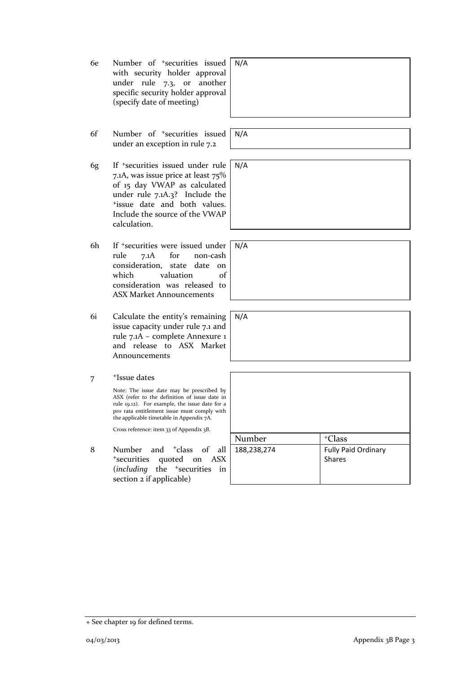- 6e Number of +securities issued with security holder approval under rule 7.3, or another specific security holder approval (specify date of meeting) N/A
- 6f Number of +securities issued under an exception in rule 7.2
- 6g If +securities issued under rule 7.1A, was issue price at least 75% of 15 day VWAP as calculated under rule 7.1A.3? Include the +issue date and both values. Include the source of the VWAP calculation.
- 6h If +securities were issued under rule 7.1A for non-cash consideration, state date on which valuation of consideration was released to ASX Market Announcements
- 6i Calculate the entity's remaining issue capacity under rule 7.1 and rule 7.1A – complete Annexure 1 and release to ASX Market Announcements

7 +Issue dates

Note: The issue date may be prescribed by ASX (refer to the definition of issue date in rule 19.12). For example, the issue date for a pro rata entitlement issue must comply with the applicable timetable in Appendix 7A.

8 Number and <sup>+</sup>class of all <sup>+</sup>securities quoted on ASX (*including* the <sup>+</sup>securities in section 2 if applicable)

N/A

N/A

 N/A

N/A

|   | ASA (refer to the definition of issue date in<br>rule 19.12). For example, the issue date for a<br>pro rata entitlement issue must comply with<br>the applicable timetable in Appendix 7A. |             |                            |
|---|--------------------------------------------------------------------------------------------------------------------------------------------------------------------------------------------|-------------|----------------------------|
|   | Cross reference: item 33 of Appendix 3B.                                                                                                                                                   |             |                            |
|   |                                                                                                                                                                                            | Number      | <sup>+</sup> Class         |
| 8 | Number and <sup>+</sup> class of all                                                                                                                                                       | 188.238.274 | <b>Fully Paid Ordinary</b> |
|   | quoted on<br><sup>+</sup> securities<br>ASX                                                                                                                                                |             | <b>Shares</b>              |
|   | ( <i>including</i> the <sup>+</sup> securities<br>in                                                                                                                                       |             |                            |
|   | section 2 if applicable)                                                                                                                                                                   |             |                            |

+ See chapter 19 for defined terms.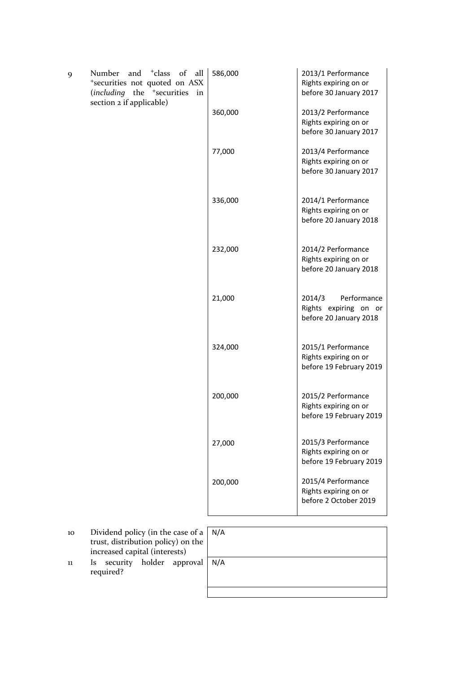| 9 | and <sup>+</sup> class of<br>Number<br>all<br>*securities not quoted on ASX<br>(including the <sup>+</sup> securities in<br>section 2 if applicable) | 586,000 | 2013/1 Performance<br>Rights expiring on or<br>before 30 January 2017    |
|---|------------------------------------------------------------------------------------------------------------------------------------------------------|---------|--------------------------------------------------------------------------|
|   |                                                                                                                                                      | 360,000 | 2013/2 Performance<br>Rights expiring on or<br>before 30 January 2017    |
|   |                                                                                                                                                      | 77,000  | 2013/4 Performance<br>Rights expiring on or<br>before 30 January 2017    |
|   |                                                                                                                                                      | 336,000 | 2014/1 Performance<br>Rights expiring on or<br>before 20 January 2018    |
|   |                                                                                                                                                      | 232,000 | 2014/2 Performance<br>Rights expiring on or<br>before 20 January 2018    |
|   |                                                                                                                                                      | 21,000  | Performance<br>2014/3<br>Rights expiring on or<br>before 20 January 2018 |
|   |                                                                                                                                                      | 324,000 | 2015/1 Performance<br>Rights expiring on or<br>before 19 February 2019   |
|   |                                                                                                                                                      | 200,000 | 2015/2 Performance<br>Rights expiring on or<br>before 19 February 2019   |
|   |                                                                                                                                                      | 27,000  | 2015/3 Performance<br>Rights expiring on or<br>before 19 February 2019   |
|   |                                                                                                                                                      | 200,000 | 2015/4 Performance<br>Rights expiring on or<br>before 2 October 2019     |

- 10 Dividend policy (in the case of a trust, distribution policy) on the increased capital (interests)
- 11 Is security holder approval required?

| $\mathbf{a}$   | N/A |
|----------------|-----|
| $\overline{e}$ |     |
|                |     |
| l              | N/A |
|                |     |
|                |     |
|                |     |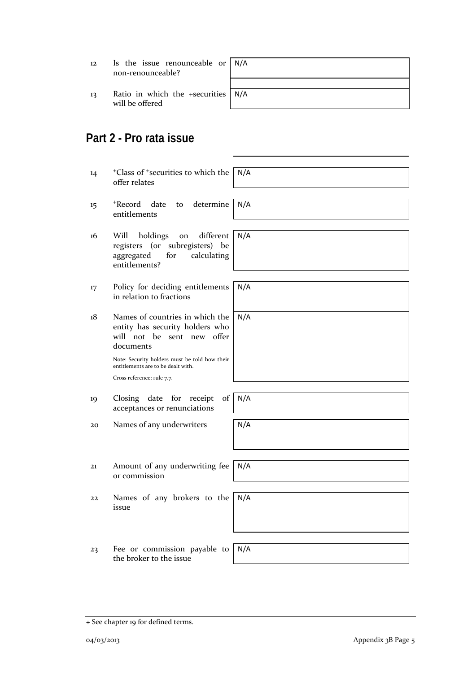| 12 |  |                   | Is the issue renounceable or $\big  N/A$ |  |
|----|--|-------------------|------------------------------------------|--|
|    |  | non-renounceable? |                                          |  |

13 Ratio in which the +securities will be offered

| r   N/A      |
|--------------|
| $S \mid N/A$ |
|              |

## **Part 2 - Pro rata issue**

| 14 | <sup>+</sup> Class of <sup>+</sup> securities to which the<br>offer relates                                                                                                                          | N/A |
|----|------------------------------------------------------------------------------------------------------------------------------------------------------------------------------------------------------|-----|
| 15 | +Record<br>determine<br>date<br>to<br>entitlements                                                                                                                                                   | N/A |
| 16 | different<br>Will<br>holdings<br>on<br>registers (or subregisters) be<br>aggregated<br>for<br>calculating<br>entitlements?                                                                           | N/A |
| 17 | Policy for deciding entitlements<br>in relation to fractions                                                                                                                                         | N/A |
| 18 | Names of countries in which the<br>entity has security holders who<br>will not be sent new offer<br>documents<br>Note: Security holders must be told how their<br>entitlements are to be dealt with. | N/A |
|    | Cross reference: rule 7.7.                                                                                                                                                                           |     |
| 19 | Closing date<br>for<br>receipt<br>of<br>acceptances or renunciations                                                                                                                                 | N/A |
| 20 | Names of any underwriters                                                                                                                                                                            | N/A |
|    |                                                                                                                                                                                                      |     |
| 21 | Amount of any underwriting fee<br>or commission                                                                                                                                                      | N/A |
| 22 | Names of any brokers to the<br>issue                                                                                                                                                                 | N/A |
|    |                                                                                                                                                                                                      |     |
| 23 | Fee or commission payable to<br>the broker to the issue                                                                                                                                              | N/A |

<sup>+</sup> See chapter 19 for defined terms.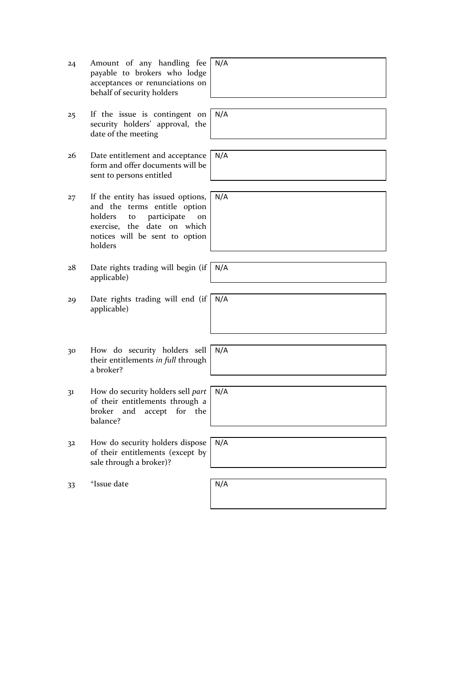| 24 | Amount of any handling fee<br>payable to brokers who lodge<br>acceptances or renunciations on<br>behalf of security holders                                                         | N/A |
|----|-------------------------------------------------------------------------------------------------------------------------------------------------------------------------------------|-----|
|    |                                                                                                                                                                                     |     |
| 25 | If the issue is contingent on<br>security holders' approval, the<br>date of the meeting                                                                                             | N/A |
|    |                                                                                                                                                                                     |     |
| 26 | Date entitlement and acceptance<br>form and offer documents will be<br>sent to persons entitled                                                                                     | N/A |
|    |                                                                                                                                                                                     |     |
| 27 | If the entity has issued options,<br>and the terms entitle option<br>holders<br>participate<br>to<br>on<br>exercise, the date on which<br>notices will be sent to option<br>holders | N/A |
|    |                                                                                                                                                                                     |     |
| 28 | Date rights trading will begin (if<br>applicable)                                                                                                                                   | N/A |
|    |                                                                                                                                                                                     |     |
| 29 | Date rights trading will end (if<br>applicable)                                                                                                                                     | N/A |
|    |                                                                                                                                                                                     |     |
|    |                                                                                                                                                                                     |     |
| 30 | How do security holders sell<br>their entitlements in full through<br>a broker?                                                                                                     | N/A |
|    |                                                                                                                                                                                     |     |
| 31 | How do security holders sell part<br>of their entitlements through a<br>broker and accept for the<br>balance?                                                                       | N/A |
|    |                                                                                                                                                                                     |     |
| 32 | How do security holders dispose<br>of their entitlements (except by<br>sale through a broker)?                                                                                      | N/A |
|    |                                                                                                                                                                                     |     |
| 33 | <sup>+</sup> Issue date                                                                                                                                                             | N/A |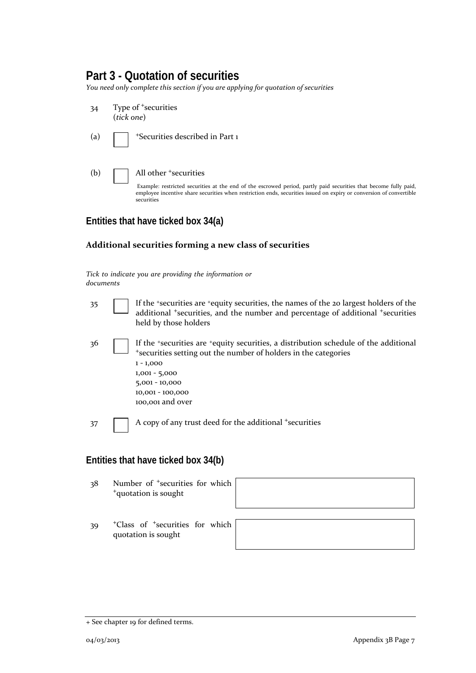## **Part 3 - Quotation of securities**

*You need only complete this section if you are applying for quotation of securities*

| 34  | Type of <sup>+</sup> securities<br>(tick one)                                                                                                                                                                                                                                              |
|-----|--------------------------------------------------------------------------------------------------------------------------------------------------------------------------------------------------------------------------------------------------------------------------------------------|
|     | (a) $\vert$ + Securities described in Part 1                                                                                                                                                                                                                                               |
| (b) | All other <sup>+</sup> securities<br>Example: restricted securities at the end of the escrowed period, partly paid securities that become fully paid,<br>employee incentive share securities when restriction ends, securities issued on expiry or conversion of convertible<br>securities |

### **Entities that have ticked box 34(a)**

#### **Additional securities forming a new class of securities**

*Tick to indicate you are providing the information or documents*

| 35 | If the 'securities are 'equity securities, the names of the 20 largest holders of the<br>additional *securities, and the number and percentage of additional *securities<br>held by those holders                                                                    |
|----|----------------------------------------------------------------------------------------------------------------------------------------------------------------------------------------------------------------------------------------------------------------------|
| 36 | If the <i>*securities</i> are <i>*equity securities</i> , a distribution schedule of the additional<br>*securities setting out the number of holders in the categories<br>$1 - 1,000$<br>$1,001 - 5,000$<br>$5,001 - 10,000$<br>10,001 - 100,000<br>100,001 and over |
| 37 | A copy of any trust deed for the additional <sup>+</sup> securities                                                                                                                                                                                                  |
|    | Entities that have ticked box 34(b)                                                                                                                                                                                                                                  |
| 38 | Number of <sup>+</sup> securities for which<br><sup>+</sup> quotation is sought                                                                                                                                                                                      |

39 <sup>+</sup>Class of <sup>+</sup>securities for which quotation is sought



<sup>+</sup> See chapter 19 for defined terms.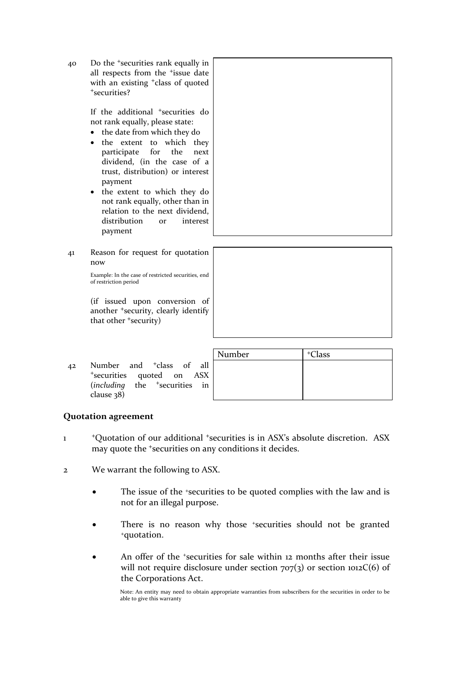40 Do the <sup>+</sup>securities rank equally in all respects from the <sup>+</sup>issue date with an existing <sup>+</sup>class of quoted <sup>+</sup>securities?

> If the additional <sup>+</sup>securities do not rank equally, please state:

- the date from which they do
- the extent to which they participate for the next dividend, (in the case of a trust, distribution) or interest payment
- the extent to which they do not rank equally, other than in relation to the next dividend, distribution or interest payment
- 41 Reason for request for quotation now

Example: In the case of restricted securities, end of restriction period

(if issued upon conversion of another <sup>+</sup>security, clearly identify that other <sup>+</sup>security)

42 Number and <sup>+</sup>class of all <sup>+</sup>securities quoted on ASX (*including* the <sup>+</sup>securities in clause 38)

| Number | <sup>+</sup> Class                                                                                                  |
|--------|---------------------------------------------------------------------------------------------------------------------|
|        |                                                                                                                     |
|        |                                                                                                                     |
| in     |                                                                                                                     |
|        | Number and <sup>+</sup> class of all<br>*securities quoted on ASX<br>( <i>including</i> the <sup>+</sup> securities |

#### **Quotation agreement**

- 1 <sup>+</sup>Quotation of our additional <sup>+</sup>securities is in ASX's absolute discretion. ASX may quote the <sup>+</sup>securities on any conditions it decides.
- 2 We warrant the following to ASX.
	- The issue of the +securities to be quoted complies with the law and is not for an illegal purpose.
	- There is no reason why those *\*securities* should not be granted +quotation.
	- An offer of the *\*securities* for sale within 12 months after their issue will not require disclosure under section  $707(3)$  or section  $1012C(6)$  of the Corporations Act.

Note: An entity may need to obtain appropriate warranties from subscribers for the securities in order to be able to give this warranty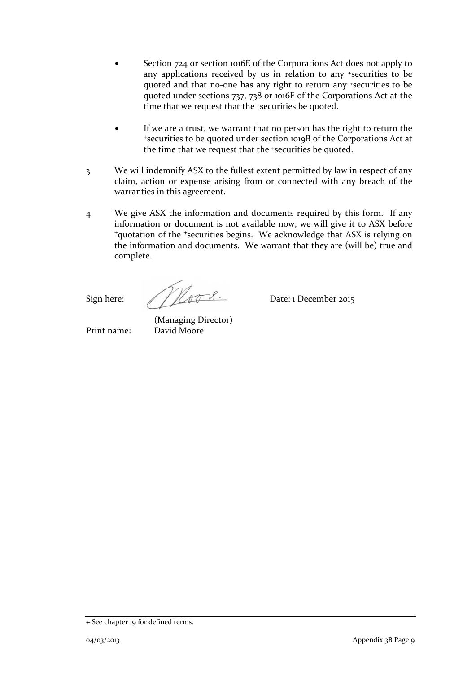- Section 724 or section 1016E of the Corporations Act does not apply to any applications received by us in relation to any +securities to be quoted and that no‐one has any right to return any +securities to be quoted under sections 737, 738 or 1016F of the Corporations Act at the time that we request that the +securities be quoted.
- If we are a trust, we warrant that no person has the right to return the <sup>+</sup>securities to be quoted under section 1019B of the Corporations Act at the time that we request that the +securities be quoted.
- 3 We will indemnify ASX to the fullest extent permitted by law in respect of any claim, action or expense arising from or connected with any breach of the warranties in this agreement.
- 4 We give ASX the information and documents required by this form. If any information or document is not available now, we will give it to ASX before <sup>+</sup>quotation of the <sup>+</sup>securities begins. We acknowledge that ASX is relying on the information and documents. We warrant that they are (will be) true and complete.

Sign here:  $\mathcal{M}_{\emptyset \emptyset \emptyset \emptyset}$  Date: 1 December 2015

(Managing Director) Print name: David Moore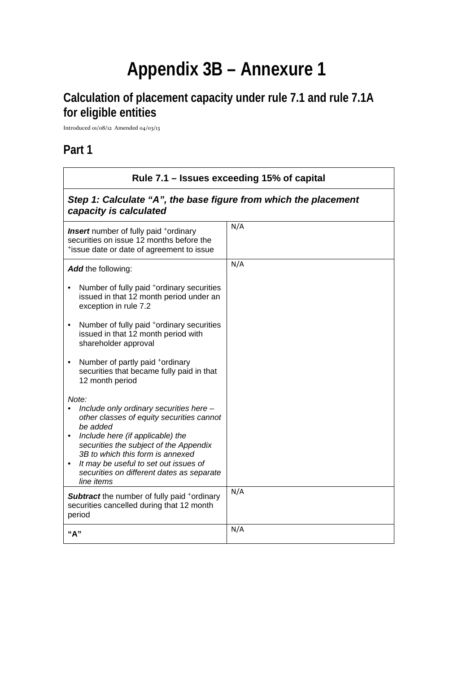# **Appendix 3B – Annexure 1**

## **Calculation of placement capacity under rule 7.1 and rule 7.1A for eligible entities**

Introduced 01/08/12 Amended 04/03/13

## **Part 1**

| Rule 7.1 – Issues exceeding 15% of capital                                                                                                                                                                                                                                                                                                   |     |  |
|----------------------------------------------------------------------------------------------------------------------------------------------------------------------------------------------------------------------------------------------------------------------------------------------------------------------------------------------|-----|--|
| Step 1: Calculate "A", the base figure from which the placement<br>capacity is calculated                                                                                                                                                                                                                                                    |     |  |
| <b>Insert</b> number of fully paid <sup>+</sup> ordinary<br>securities on issue 12 months before the<br>*issue date or date of agreement to issue                                                                                                                                                                                            | N/A |  |
| Add the following:                                                                                                                                                                                                                                                                                                                           | N/A |  |
| Number of fully paid <sup>+</sup> ordinary securities<br>issued in that 12 month period under an<br>exception in rule 7.2                                                                                                                                                                                                                    |     |  |
| Number of fully paid *ordinary securities<br>$\bullet$<br>issued in that 12 month period with<br>shareholder approval                                                                                                                                                                                                                        |     |  |
| Number of partly paid +ordinary<br>securities that became fully paid in that<br>12 month period                                                                                                                                                                                                                                              |     |  |
| Note:<br>Include only ordinary securities here -<br>other classes of equity securities cannot<br>be added<br>Include here (if applicable) the<br>$\bullet$<br>securities the subject of the Appendix<br>3B to which this form is annexed<br>It may be useful to set out issues of<br>securities on different dates as separate<br>line items |     |  |
| <b>Subtract</b> the number of fully paid <sup>+</sup> ordinary<br>securities cancelled during that 12 month<br>period                                                                                                                                                                                                                        | N/A |  |
| "A"                                                                                                                                                                                                                                                                                                                                          | N/A |  |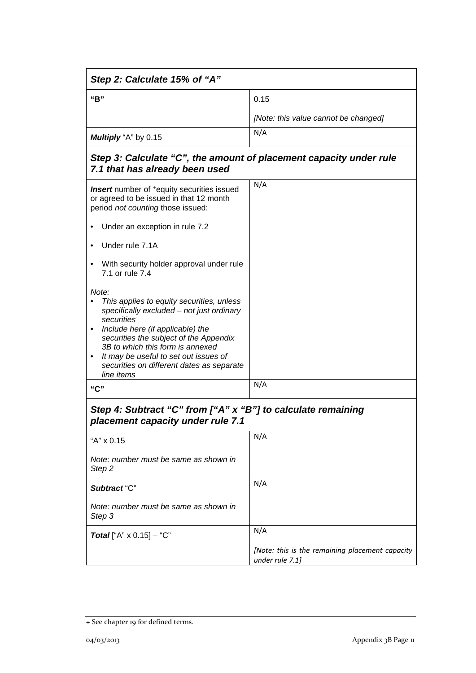| Step 2: Calculate 15% of "A"                                                                                                                                                                                                                                                                                                                          |                                                                    |  |
|-------------------------------------------------------------------------------------------------------------------------------------------------------------------------------------------------------------------------------------------------------------------------------------------------------------------------------------------------------|--------------------------------------------------------------------|--|
| "B"                                                                                                                                                                                                                                                                                                                                                   | 0.15                                                               |  |
|                                                                                                                                                                                                                                                                                                                                                       | [Note: this value cannot be changed]                               |  |
| Multiply "A" by 0.15                                                                                                                                                                                                                                                                                                                                  | N/A                                                                |  |
| Step 3: Calculate "C", the amount of placement capacity under rule<br>7.1 that has already been used                                                                                                                                                                                                                                                  |                                                                    |  |
| <b>Insert</b> number of <sup>+</sup> equity securities issued<br>or agreed to be issued in that 12 month<br>period not counting those issued:                                                                                                                                                                                                         | N/A                                                                |  |
| Under an exception in rule 7.2                                                                                                                                                                                                                                                                                                                        |                                                                    |  |
| Under rule 7.1A                                                                                                                                                                                                                                                                                                                                       |                                                                    |  |
| With security holder approval under rule<br>7.1 or rule 7.4                                                                                                                                                                                                                                                                                           |                                                                    |  |
| Note:<br>This applies to equity securities, unless<br>specifically excluded - not just ordinary<br>securities<br>Include here (if applicable) the<br>$\bullet$<br>securities the subject of the Appendix<br>3B to which this form is annexed<br>It may be useful to set out issues of<br>٠<br>securities on different dates as separate<br>line items |                                                                    |  |
| "C"                                                                                                                                                                                                                                                                                                                                                   | N/A                                                                |  |
| Step 4: Subtract "C" from ["A" x "B"] to calculate remaining<br>placement capacity under rule 7.1                                                                                                                                                                                                                                                     |                                                                    |  |
| "A" x 0.15                                                                                                                                                                                                                                                                                                                                            | N/A                                                                |  |
| Note: number must be same as shown in<br>Step <sub>2</sub>                                                                                                                                                                                                                                                                                            |                                                                    |  |
| Subtract "C"                                                                                                                                                                                                                                                                                                                                          | N/A                                                                |  |
| Note: number must be same as shown in<br>Step 3                                                                                                                                                                                                                                                                                                       |                                                                    |  |
| <b>Total</b> ["A" $\times$ 0.15] – "C"                                                                                                                                                                                                                                                                                                                | N/A                                                                |  |
|                                                                                                                                                                                                                                                                                                                                                       | [Note: this is the remaining placement capacity<br>under rule 7.1] |  |

<sup>+</sup> See chapter 19 for defined terms.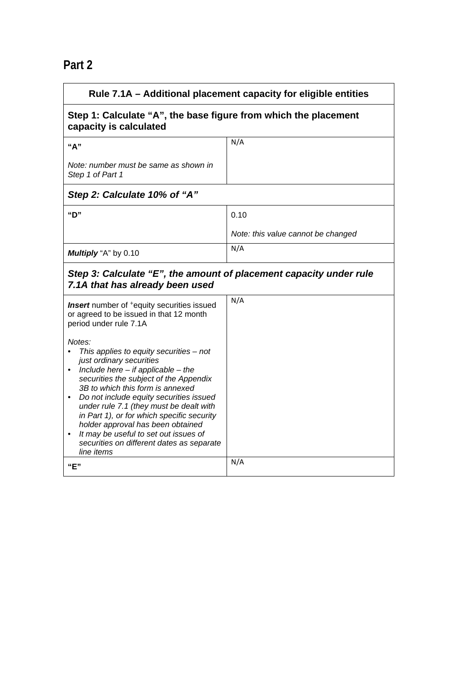| ×<br>٩ |  |
|--------|--|
|--------|--|

| Rule 7.1A - Additional placement capacity for eligible entities                                                                                                                                                                                                                                                                                                                                                                                                                                                                                                                                                                         |                                    |  |
|-----------------------------------------------------------------------------------------------------------------------------------------------------------------------------------------------------------------------------------------------------------------------------------------------------------------------------------------------------------------------------------------------------------------------------------------------------------------------------------------------------------------------------------------------------------------------------------------------------------------------------------------|------------------------------------|--|
| Step 1: Calculate "A", the base figure from which the placement<br>capacity is calculated                                                                                                                                                                                                                                                                                                                                                                                                                                                                                                                                               |                                    |  |
| "A"                                                                                                                                                                                                                                                                                                                                                                                                                                                                                                                                                                                                                                     | N/A                                |  |
| Note: number must be same as shown in<br>Step 1 of Part 1                                                                                                                                                                                                                                                                                                                                                                                                                                                                                                                                                                               |                                    |  |
| Step 2: Calculate 10% of "A"                                                                                                                                                                                                                                                                                                                                                                                                                                                                                                                                                                                                            |                                    |  |
| "D"                                                                                                                                                                                                                                                                                                                                                                                                                                                                                                                                                                                                                                     | 0.10                               |  |
|                                                                                                                                                                                                                                                                                                                                                                                                                                                                                                                                                                                                                                         | Note: this value cannot be changed |  |
| Multiply "A" by 0.10                                                                                                                                                                                                                                                                                                                                                                                                                                                                                                                                                                                                                    | N/A                                |  |
| Step 3: Calculate "E", the amount of placement capacity under rule<br>7.1A that has already been used                                                                                                                                                                                                                                                                                                                                                                                                                                                                                                                                   |                                    |  |
| <b>Insert</b> number of <sup>+</sup> equity securities issued<br>or agreed to be issued in that 12 month<br>period under rule 7.1A<br>Notes:<br>This applies to equity securities $-$ not<br>just ordinary securities<br>Include here $-$ if applicable $-$ the<br>securities the subject of the Appendix<br>3B to which this form is annexed<br>Do not include equity securities issued<br>$\bullet$<br>under rule 7.1 (they must be dealt with<br>in Part 1), or for which specific security<br>holder approval has been obtained<br>It may be useful to set out issues of<br>securities on different dates as separate<br>line items | N/A                                |  |
| "E"                                                                                                                                                                                                                                                                                                                                                                                                                                                                                                                                                                                                                                     | N/A                                |  |